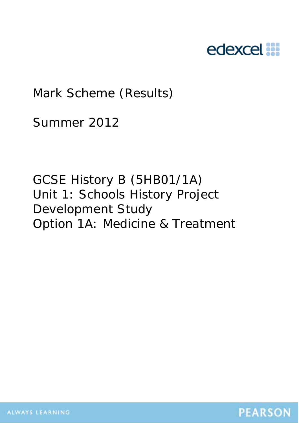# edexcel :::

Mark Scheme (Results)

Summer 2012

GCSE History B (5HB01/1A) Unit 1: Schools History Project Development Study Option 1A: Medicine & Treatment

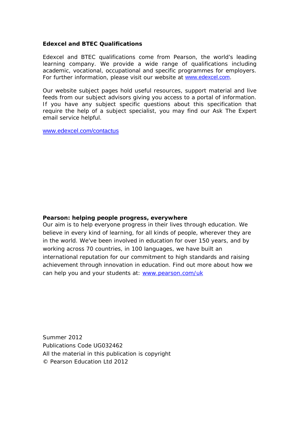#### **Edexcel and BTEC Qualifications**

Edexcel and BTEC qualifications come from Pearson, the world's leading learning company. We provide a wide range of qualifications including academic, vocational, occupational and specific programmes for employers. For further information, please visit our website at www.edexcel.com.

Our website subject pages hold useful resources, support material and live feeds from our subject advisors giving you access to a portal of information. If you have any subject specific questions about this specification that require the help of a subject specialist, you may find our Ask The Expert email service helpful.

www.edexcel.com/contactus

#### **Pearson: helping people progress, everywhere**

Our aim is to help everyone progress in their lives through education. We believe in every kind of learning, for all kinds of people, wherever they are in the world. We've been involved in education for over 150 years, and by working across 70 countries, in 100 languages, we have built an international reputation for our commitment to high standards and raising achievement through innovation in education. Find out more about how we can help you and your students at: www.pearson.com/uk

Summer 2012 Publications Code UG032462 All the material in this publication is copyright © Pearson Education Ltd 2012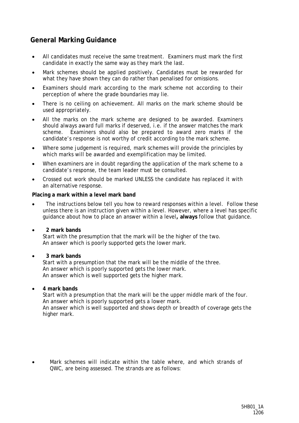### **General Marking Guidance**

- All candidates must receive the same treatment. Examiners must mark the first candidate in exactly the same way as they mark the last.
- Mark schemes should be applied positively. Candidates must be rewarded for what they have shown they can do rather than penalised for omissions.
- Examiners should mark according to the mark scheme not according to their perception of where the grade boundaries may lie.
- There is no ceiling on achievement. All marks on the mark scheme should be used appropriately.
- All the marks on the mark scheme are designed to be awarded. Examiners should always award full marks if deserved, i.e. if the answer matches the mark scheme. Examiners should also be prepared to award zero marks if the candidate's response is not worthy of credit according to the mark scheme.
- Where some judgement is required, mark schemes will provide the principles by which marks will be awarded and exemplification may be limited.
- When examiners are in doubt regarding the application of the mark scheme to a candidate's response, the team leader must be consulted.
- Crossed out work should be marked UNLESS the candidate has replaced it with an alternative response.

#### **Placing a mark within a level mark band**

The instructions below tell you how to reward responses within a level. Follow these unless there is an instruction given within a level. However, where a level has specific guidance about how to place an answer within a level**, always** follow that guidance.

#### • **2 mark bands**

Start with the presumption that the mark will be the higher of the two. An answer which is poorly supported gets the lower mark.

#### • **3 mark bands**

Start with a presumption that the mark will be the middle of the three. An answer which is poorly supported gets the lower mark. An answer which is well supported gets the higher mark.

#### • **4 mark bands**

Start with a presumption that the mark will be the upper middle mark of the four. An answer which is poorly supported gets a lower mark. An answer which is well supported and shows depth or breadth of coverage gets the higher mark.

• Mark schemes will indicate within the table where, and which strands of QWC, are being assessed. The strands are as follows: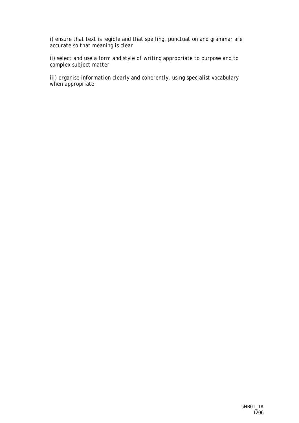*i) ensure that text is legible and that spelling, punctuation and grammar are accurate so that meaning is clear* 

*ii) select and use a form and style of writing appropriate to purpose and to complex subject matter* 

*iii) organise information clearly and coherently, using specialist vocabulary when appropriate.*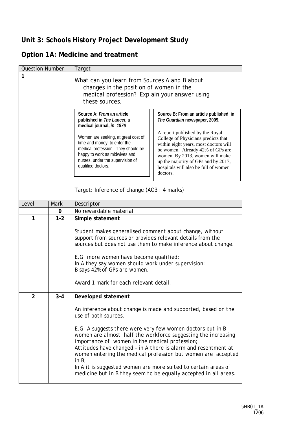## **Unit 3: Schools History Project Development Study**

## **Option 1A: Medicine and treatment**

| <b>Question Number</b> |             | Target                                                                                                                                                                                                                                                                                                                                    |                                                                                                                                                                                                                                                                                                                                                                                                        |
|------------------------|-------------|-------------------------------------------------------------------------------------------------------------------------------------------------------------------------------------------------------------------------------------------------------------------------------------------------------------------------------------------|--------------------------------------------------------------------------------------------------------------------------------------------------------------------------------------------------------------------------------------------------------------------------------------------------------------------------------------------------------------------------------------------------------|
| 1                      |             | What can you learn from Sources A and B about<br>changes in the position of women in the<br>medical profession? Explain your answer using<br>these sources.                                                                                                                                                                               |                                                                                                                                                                                                                                                                                                                                                                                                        |
|                        |             | Source A: From an article<br>published in The Lancet, a<br>medical journal, in 1876<br>Women are seeking, at great cost of<br>time and money, to enter the<br>medical profession. They should be<br>happy to work as midwives and<br>nurses, under the supervision of<br>qualified doctors.<br>Target: Inference of change (AO3: 4 marks) | Source B: From an article published in<br>The Guardian newspaper, 2009.<br>A report published by the Royal<br>College of Physicians predicts that<br>within eight years, most doctors will<br>be women. Already 42% of GPs are<br>women. By 2013, women will make<br>up the majority of GPs and by 2017,<br>hospitals will also be full of women<br>doctors.                                           |
| Level                  | <b>Mark</b> | Descriptor                                                                                                                                                                                                                                                                                                                                |                                                                                                                                                                                                                                                                                                                                                                                                        |
|                        | 0           | No rewardable material                                                                                                                                                                                                                                                                                                                    |                                                                                                                                                                                                                                                                                                                                                                                                        |
| 1                      | $1 - 2$     | Simple statement                                                                                                                                                                                                                                                                                                                          |                                                                                                                                                                                                                                                                                                                                                                                                        |
|                        |             | Student makes generalised comment about change, without<br>support from sources or provides relevant details from the<br>E.G. more women have become qualified;<br>In A they say women should work under supervision;<br>B says 42% of GPs are women.<br>Award 1 mark for each relevant detail.                                           | sources but does not use them to make inference about change.                                                                                                                                                                                                                                                                                                                                          |
| $\overline{2}$         | $3 - 4$     | Developed statement                                                                                                                                                                                                                                                                                                                       |                                                                                                                                                                                                                                                                                                                                                                                                        |
|                        |             | use of both sources.<br>E.G. A suggests there were very few women doctors but in B<br>importance of women in the medical profession;<br>in $B$ ;                                                                                                                                                                                          | An inference about change is made and supported, based on the<br>women are almost half the workforce suggesting the increasing<br>Attitudes have changed - in A there is alarm and resentment at<br>women entering the medical profession but women are accepted<br>In A it is suggested women are more suited to certain areas of<br>medicine but in B they seem to be equally accepted in all areas. |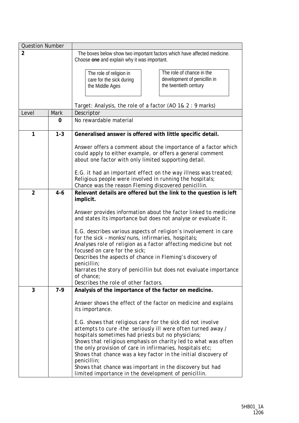| <b>Question Number</b> |         |                                                                                                                                                                                                                                                                                                                                                                                                                                                                                                                                                                                      |
|------------------------|---------|--------------------------------------------------------------------------------------------------------------------------------------------------------------------------------------------------------------------------------------------------------------------------------------------------------------------------------------------------------------------------------------------------------------------------------------------------------------------------------------------------------------------------------------------------------------------------------------|
| $\overline{2}$         |         | The boxes below show two important factors which have affected medicine.<br>Choose one and explain why it was important.                                                                                                                                                                                                                                                                                                                                                                                                                                                             |
|                        |         | The role of chance in the<br>The role of religion in<br>development of penicillin in<br>care for the sick during<br>the twentieth century<br>the Middle Ages                                                                                                                                                                                                                                                                                                                                                                                                                         |
|                        |         | Target: Analysis, the role of a factor (AO 1& 2 : 9 marks)                                                                                                                                                                                                                                                                                                                                                                                                                                                                                                                           |
| Level                  | Mark    | Descriptor                                                                                                                                                                                                                                                                                                                                                                                                                                                                                                                                                                           |
|                        | 0       | No rewardable material                                                                                                                                                                                                                                                                                                                                                                                                                                                                                                                                                               |
| 1                      | $1 - 3$ | Generalised answer is offered with little specific detail.                                                                                                                                                                                                                                                                                                                                                                                                                                                                                                                           |
|                        |         | Answer offers a comment about the importance of a factor which<br>could apply to either example, or offers a general comment<br>about one factor with only limited supporting detail.<br>E.G. it had an important effect on the way illness was treated;<br>Religious people were involved in running the hospitals;<br>Chance was the reason Fleming discovered penicillin.                                                                                                                                                                                                         |
| $\overline{2}$         | $4 - 6$ | Relevant details are offered but the link to the question is left                                                                                                                                                                                                                                                                                                                                                                                                                                                                                                                    |
| 3                      | $7-9$   | implicit.<br>Answer provides information about the factor linked to medicine<br>and states its importance but does not analyse or evaluate it.<br>E.G. describes various aspects of religion's involvement in care<br>for the sick - monks/nuns, infirmaries, hospitals;<br>Analyses role of religion as a factor affecting medicine but not<br>focused on care for the sick;<br>Describes the aspects of chance in Fleming's discovery of<br>penicillin;<br>Narrates the story of penicillin but does not evaluate importance<br>of chance;<br>Describes the role of other factors. |
|                        |         | Analysis of the importance of the factor on medicine.<br>Answer shows the effect of the factor on medicine and explains                                                                                                                                                                                                                                                                                                                                                                                                                                                              |
|                        |         | its importance.<br>E.G. shows that religious care for the sick did not involve<br>attempts to cure-the seriously ill were often turned away /                                                                                                                                                                                                                                                                                                                                                                                                                                        |
|                        |         | hospitals sometimes had priests but no physicians;                                                                                                                                                                                                                                                                                                                                                                                                                                                                                                                                   |
|                        |         | Shows that religious emphasis on charity led to what was often                                                                                                                                                                                                                                                                                                                                                                                                                                                                                                                       |
|                        |         | the only provision of care in infirmaries, hospitals etc;<br>Shows that chance was a key factor in the initial discovery of                                                                                                                                                                                                                                                                                                                                                                                                                                                          |
|                        |         | penicillin;                                                                                                                                                                                                                                                                                                                                                                                                                                                                                                                                                                          |
|                        |         | Shows that chance was important in the discovery but had<br>limited importance in the development of penicillin.                                                                                                                                                                                                                                                                                                                                                                                                                                                                     |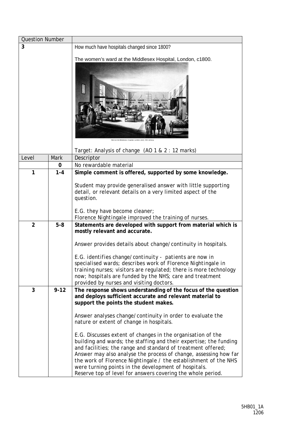| <b>Question Number</b> |          |                                                                                                                                                                                                                                                                                                                                                                                                                                                                                                                                                                                                                                                                                                                                                |
|------------------------|----------|------------------------------------------------------------------------------------------------------------------------------------------------------------------------------------------------------------------------------------------------------------------------------------------------------------------------------------------------------------------------------------------------------------------------------------------------------------------------------------------------------------------------------------------------------------------------------------------------------------------------------------------------------------------------------------------------------------------------------------------------|
| 3                      |          | How much have hospitals changed since 1800?                                                                                                                                                                                                                                                                                                                                                                                                                                                                                                                                                                                                                                                                                                    |
|                        |          | The women's ward at the Middlesex Hospital, London, c1800.<br>Mard at the Middlesex Hospital, London, early 19th centur                                                                                                                                                                                                                                                                                                                                                                                                                                                                                                                                                                                                                        |
| Level                  | Mark     | Target: Analysis of change (AO 1 & 2 : 12 marks)<br>Descriptor                                                                                                                                                                                                                                                                                                                                                                                                                                                                                                                                                                                                                                                                                 |
|                        | 0        | No rewardable material                                                                                                                                                                                                                                                                                                                                                                                                                                                                                                                                                                                                                                                                                                                         |
| 1                      | $1 - 4$  | Simple comment is offered, supported by some knowledge.                                                                                                                                                                                                                                                                                                                                                                                                                                                                                                                                                                                                                                                                                        |
|                        |          | Student may provide generalised answer with little supporting<br>detail, or relevant details on a very limited aspect of the<br>question.<br>E.G. they have become cleaner;                                                                                                                                                                                                                                                                                                                                                                                                                                                                                                                                                                    |
|                        |          | Florence Nightingale improved the training of nurses.                                                                                                                                                                                                                                                                                                                                                                                                                                                                                                                                                                                                                                                                                          |
| $\overline{2}$         | $5 - 8$  | Statements are developed with support from material which is<br>mostly relevant and accurate.<br>Answer provides details about change/continuity in hospitals.<br>E.G. identifies change/continuity - patients are now in<br>specialised wards; describes work of Florence Nightingale in<br>training nurses; visitors are regulated; there is more technology<br>now; hospitals are funded by the NHS; care and treatment<br>provided by nurses and visiting doctors.                                                                                                                                                                                                                                                                         |
| 3                      | $9 - 12$ | The response shows understanding of the focus of the question<br>and deploys sufficient accurate and relevant material to<br>support the points the student makes.<br>Answer analyses change/continuity in order to evaluate the<br>nature or extent of change in hospitals.<br>E.G. Discusses extent of changes in the organisation of the<br>building and wards; the staffing and their expertise; the funding<br>and facilities; the range and standard of treatment offered;<br>Answer may also analyse the process of change, assessing how far<br>the work of Florence Nightingale / the establishment of the NHS<br>were turning points in the development of hospitals.<br>Reserve top of level for answers covering the whole period. |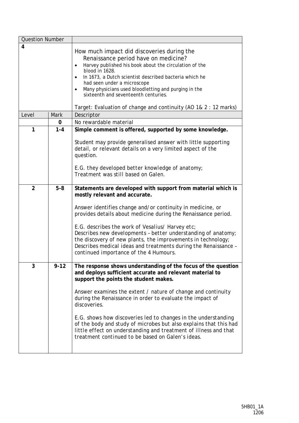| <b>Question Number</b> |             |                                                                                                                                                                                                                                                                                                                                                                                                                                                                                                                                                                                 |
|------------------------|-------------|---------------------------------------------------------------------------------------------------------------------------------------------------------------------------------------------------------------------------------------------------------------------------------------------------------------------------------------------------------------------------------------------------------------------------------------------------------------------------------------------------------------------------------------------------------------------------------|
| 4                      |             | How much impact did discoveries during the<br>Renaissance period have on medicine?<br>Harvey published his book about the circulation of the<br>$\bullet$<br>blood in 1628.<br>In 1673, a Dutch scientist described bacteria which he<br>$\bullet$<br>had seen under a microscope<br>Many physicians used bloodletting and purging in the<br>sixteenth and seventeenth centuries.<br>Target: Evaluation of change and continuity (AO 1& 2 : 12 marks)                                                                                                                           |
| Level                  | <b>Mark</b> | Descriptor                                                                                                                                                                                                                                                                                                                                                                                                                                                                                                                                                                      |
|                        | 0           | No rewardable material                                                                                                                                                                                                                                                                                                                                                                                                                                                                                                                                                          |
| 1                      | $1 - 4$     | Simple comment is offered, supported by some knowledge.<br>Student may provide generalised answer with little supporting<br>detail, or relevant details on a very limited aspect of the<br>question.                                                                                                                                                                                                                                                                                                                                                                            |
|                        |             | E.G. they developed better knowledge of anatomy;<br>Treatment was still based on Galen.                                                                                                                                                                                                                                                                                                                                                                                                                                                                                         |
| $\overline{2}$         | $5-8$       | Statements are developed with support from material which is<br>mostly relevant and accurate.<br>Answer identifies change and/or continuity in medicine, or<br>provides details about medicine during the Renaissance period.<br>E.G. describes the work of Vesalius/ Harvey etc;<br>Describes new developments - better understanding of anatomy;<br>the discovery of new plants, the improvements in technology;<br>Describes medical ideas and treatments during the Renaissance -<br>continued importance of the 4 Humours.                                                 |
| 3                      | $9 - 12$    | The response shows understanding of the focus of the question<br>and deploys sufficient accurate and relevant material to<br>support the points the student makes.<br>Answer examines the extent / nature of change and continuity<br>during the Renaissance in order to evaluate the impact of<br>discoveries.<br>E.G. shows how discoveries led to changes in the understanding<br>of the body and study of microbes but also explains that this had<br>little effect on understanding and treatment of illness and that<br>treatment continued to be based on Galen's ideas. |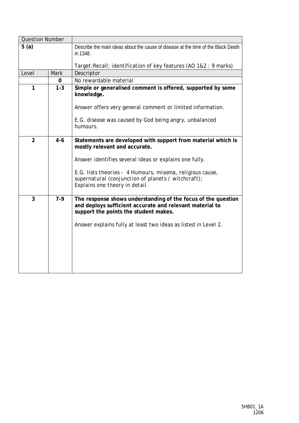| <b>Question Number</b> |             |                                                                                                                                                                                                                                                                                                               |
|------------------------|-------------|---------------------------------------------------------------------------------------------------------------------------------------------------------------------------------------------------------------------------------------------------------------------------------------------------------------|
| 5(a)                   |             | Describe the main ideas about the cause of disease at the time of the Black Death<br>in 1348.                                                                                                                                                                                                                 |
|                        |             | Target: Recall; identification of key features (AO 1&2 : 9 marks)                                                                                                                                                                                                                                             |
| Level                  | <b>Mark</b> | Descriptor                                                                                                                                                                                                                                                                                                    |
|                        | 0           | No rewardable material                                                                                                                                                                                                                                                                                        |
| 1                      | $1 - 3$     | Simple or generalised comment is offered, supported by some<br>knowledge.<br>Answer offers very general comment or limited information.                                                                                                                                                                       |
|                        |             | E.G. disease was caused by God being angry, unbalanced<br>humours.                                                                                                                                                                                                                                            |
| $\overline{2}$         | $4 - 6$     | Statements are developed with support from material which is<br>mostly relevant and accurate.<br>Answer identifies several ideas or explains one fully.<br>E.G. lists theories - 4 Humours, miasma, religious cause,<br>supernatural (conjunction of planets / witchcraft);<br>Explains one theory in detail. |
| 3                      | $7-9$       | The response shows understanding of the focus of the question<br>and deploys sufficient accurate and relevant material to<br>support the points the student makes.<br>Answer explains fully at least two ideas as listed in Level 2.                                                                          |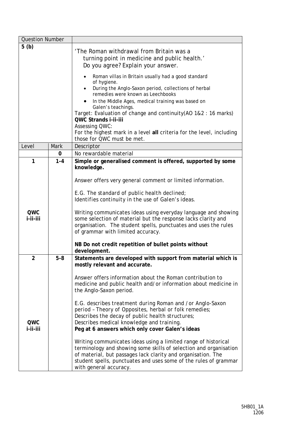| <b>Question Number</b> |             |                                                                                                                                                                                                                                                                                                   |
|------------------------|-------------|---------------------------------------------------------------------------------------------------------------------------------------------------------------------------------------------------------------------------------------------------------------------------------------------------|
| 5(b)                   |             | 'The Roman withdrawal from Britain was a<br>turning point in medicine and public health.'<br>Do you agree? Explain your answer.                                                                                                                                                                   |
|                        |             | Roman villas in Britain usually had a good standard<br>of hygiene.<br>During the Anglo-Saxon period, collections of herbal<br>remedies were known as Leechbooks                                                                                                                                   |
|                        |             | In the Middle Ages, medical training was based on<br>Galen's teachings.                                                                                                                                                                                                                           |
|                        |             | Target: Evaluation of change and continuity(AO 1&2 : 16 marks)<br>QWC Strands i-ii-iii<br><b>Assessing QWC:</b>                                                                                                                                                                                   |
|                        |             | For the highest mark in a level all criteria for the level, including<br>those for QWC must be met.                                                                                                                                                                                               |
| Level                  | <b>Mark</b> | Descriptor                                                                                                                                                                                                                                                                                        |
|                        | 0           | No rewardable material                                                                                                                                                                                                                                                                            |
| 1                      | $1 - 4$     | Simple or generalised comment is offered, supported by some<br>knowledge.                                                                                                                                                                                                                         |
|                        |             | Answer offers very general comment or limited information.                                                                                                                                                                                                                                        |
|                        |             | E.G. The standard of public health declined;<br>Identifies continuity in the use of Galen's ideas.                                                                                                                                                                                                |
| QWC<br>i-ii-iii        |             | Writing communicates ideas using everyday language and showing<br>some selection of material but the response lacks clarity and<br>organisation. The student spells, punctuates and uses the rules<br>of grammar with limited accuracy.                                                           |
|                        |             | NB Do not credit repetition of bullet points without<br>development.                                                                                                                                                                                                                              |
| $\overline{2}$         | $5 - 8$     | Statements are developed with support from material which is<br>mostly relevant and accurate.                                                                                                                                                                                                     |
|                        |             | Answer offers information about the Roman contribution to<br>medicine and public health and/or information about medicine in<br>the Anglo-Saxon period.                                                                                                                                           |
| QWC                    |             | E.G. describes treatment during Roman and /or Anglo-Saxon<br>period - Theory of Opposites, herbal or folk remedies;<br>Describes the decay of public health structures;<br>Describes medical knowledge and training.                                                                              |
| i-ii-iii               |             | Peg at 6 answers which only cover Galen's ideas                                                                                                                                                                                                                                                   |
|                        |             | Writing communicates ideas using a limited range of historical<br>terminology and showing some skills of selection and organisation<br>of material, but passages lack clarity and organisation. The<br>student spells, punctuates and uses some of the rules of grammar<br>with general accuracy. |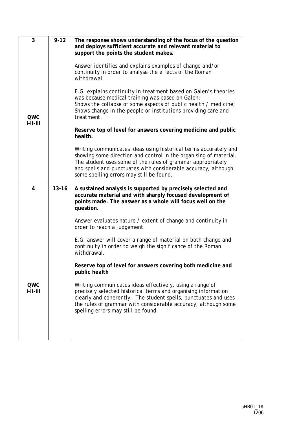| 3                      | $9 - 12$  | The response shows understanding of the focus of the question<br>and deploys sufficient accurate and relevant material to<br>support the points the student makes.                                                                                                                                                 |
|------------------------|-----------|--------------------------------------------------------------------------------------------------------------------------------------------------------------------------------------------------------------------------------------------------------------------------------------------------------------------|
| <b>QWC</b><br>i-ii-iii |           | Answer identifies and explains examples of change and/or<br>continuity in order to analyse the effects of the Roman<br>withdrawal.                                                                                                                                                                                 |
|                        |           | E.G. explains continuity in treatment based on Galen's theories<br>was because medical training was based on Galen;<br>Shows the collapse of some aspects of public health / medicine;<br>Shows change in the people or institutions providing care and<br>treatment.                                              |
|                        |           | Reserve top of level for answers covering medicine and public<br>health.                                                                                                                                                                                                                                           |
|                        |           | Writing communicates ideas using historical terms accurately and<br>showing some direction and control in the organising of material.<br>The student uses some of the rules of grammar appropriately<br>and spells and punctuates with considerable accuracy, although<br>some spelling errors may still be found. |
| 4                      | $13 - 16$ | A sustained analysis is supported by precisely selected and<br>accurate material and with sharply focused development of<br>points made. The answer as a whole will focus well on the<br>question.                                                                                                                 |
|                        |           | Answer evaluates nature / extent of change and continuity in<br>order to reach a judgement.                                                                                                                                                                                                                        |
|                        |           | E.G. answer will cover a range of material on both change and<br>continuity in order to weigh the significance of the Roman<br>withdrawal.                                                                                                                                                                         |
|                        |           | Reserve top of level for answers covering both medicine and<br>public health                                                                                                                                                                                                                                       |
| QWC<br>i-ii-iii        |           | Writing communicates ideas effectively, using a range of<br>precisely selected historical terms and organising information<br>clearly and coherently. The student spells, punctuates and uses<br>the rules of grammar with considerable accuracy, although some<br>spelling errors may still be found.             |
|                        |           |                                                                                                                                                                                                                                                                                                                    |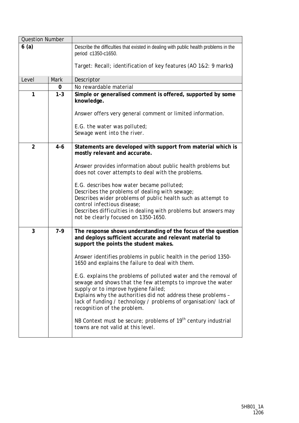| <b>Question Number</b> |         |                                                                                                                                                                                                                                                                                                                                           |
|------------------------|---------|-------------------------------------------------------------------------------------------------------------------------------------------------------------------------------------------------------------------------------------------------------------------------------------------------------------------------------------------|
| 6(a)                   |         | Describe the difficulties that existed in dealing with public health problems in the<br>period c1350-c1650.                                                                                                                                                                                                                               |
|                        |         | Target: Recall; identification of key features (AO 1&2: 9 marks)                                                                                                                                                                                                                                                                          |
| Level                  | Mark    | Descriptor                                                                                                                                                                                                                                                                                                                                |
|                        | 0       | No rewardable material                                                                                                                                                                                                                                                                                                                    |
| 1                      | $1 - 3$ | Simple or generalised comment is offered, supported by some<br>knowledge.                                                                                                                                                                                                                                                                 |
|                        |         | Answer offers very general comment or limited information.<br>E.G. the water was polluted;                                                                                                                                                                                                                                                |
|                        |         | Sewage went into the river.                                                                                                                                                                                                                                                                                                               |
| 2                      | $4 - 6$ | Statements are developed with support from material which is<br>mostly relevant and accurate.                                                                                                                                                                                                                                             |
|                        |         | Answer provides information about public health problems but<br>does not cover attempts to deal with the problems.                                                                                                                                                                                                                        |
|                        |         | E.G. describes how water became polluted;<br>Describes the problems of dealing with sewage;<br>Describes wider problems of public health such as attempt to<br>control infectious disease;                                                                                                                                                |
|                        |         | Describes difficulties in dealing with problems but answers may<br>not be clearly focused on 1350-1650.                                                                                                                                                                                                                                   |
| 3                      | $7-9$   | The response shows understanding of the focus of the question<br>and deploys sufficient accurate and relevant material to<br>support the points the student makes.                                                                                                                                                                        |
|                        |         | Answer identifies problems in public health in the period 1350-<br>1650 and explains the failure to deal with them.                                                                                                                                                                                                                       |
|                        |         | E.G. explains the problems of polluted water and the removal of<br>sewage and shows that the few attempts to improve the water<br>supply or to improve hygiene failed;<br>Explains why the authorities did not address these problems -<br>lack of funding / technology / problems of organisation/lack of<br>recognition of the problem. |
|                        |         | NB Context must be secure; problems of 19 <sup>th</sup> century industrial<br>towns are not valid at this level.                                                                                                                                                                                                                          |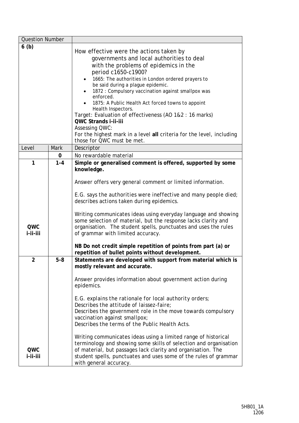| <b>Question Number</b> |         |                                                                                                                                                                                                                                                                                                                                                                                                                                                                                                                                                                                                                  |
|------------------------|---------|------------------------------------------------------------------------------------------------------------------------------------------------------------------------------------------------------------------------------------------------------------------------------------------------------------------------------------------------------------------------------------------------------------------------------------------------------------------------------------------------------------------------------------------------------------------------------------------------------------------|
| 6(b)                   |         | How effective were the actions taken by<br>governments and local authorities to deal<br>with the problems of epidemics in the<br>period c1650-c1900?<br>1665: The authorities in London ordered prayers to<br>be said during a plague epidemic.<br>1872 : Compulsory vaccination against smallpox was<br>enforced.<br>1875: A Public Health Act forced towns to appoint<br>Health Inspectors.<br>Target: Evaluation of effectiveness (AO 1&2 : 16 marks)<br>QWC Strands i-ii-iii<br><b>Assessing QWC:</b><br>For the highest mark in a level all criteria for the level, including<br>those for QWC must be met. |
| Level                  | Mark    | Descriptor                                                                                                                                                                                                                                                                                                                                                                                                                                                                                                                                                                                                       |
|                        | 0       | No rewardable material                                                                                                                                                                                                                                                                                                                                                                                                                                                                                                                                                                                           |
| 1                      | $1 - 4$ | Simple or generalised comment is offered, supported by some<br>knowledge.                                                                                                                                                                                                                                                                                                                                                                                                                                                                                                                                        |
|                        |         | Answer offers very general comment or limited information.                                                                                                                                                                                                                                                                                                                                                                                                                                                                                                                                                       |
|                        |         | $E.G.$ says the authorities were ineffective and many people died;<br>describes actions taken during epidemics.                                                                                                                                                                                                                                                                                                                                                                                                                                                                                                  |
| QWC<br>i-ii-iii        |         | Writing communicates ideas using everyday language and showing<br>some selection of material, but the response lacks clarity and<br>organisation. The student spells, punctuates and uses the rules<br>of grammar with limited accuracy.                                                                                                                                                                                                                                                                                                                                                                         |
|                        |         | NB Do not credit simple repetition of points from part (a) or<br>repetition of bullet points without development.                                                                                                                                                                                                                                                                                                                                                                                                                                                                                                |
| 2                      | $5 - 8$ | Statements are developed with support from material which is<br>mostly relevant and accurate.                                                                                                                                                                                                                                                                                                                                                                                                                                                                                                                    |
|                        |         | Answer provides information about government action during<br>epidemics.                                                                                                                                                                                                                                                                                                                                                                                                                                                                                                                                         |
|                        |         | E.G. explains the rationale for local authority orders;<br>Describes the attitude of laissez-faire;                                                                                                                                                                                                                                                                                                                                                                                                                                                                                                              |
|                        |         | Describes the government role in the move towards compulsory<br>vaccination against smallpox;<br>Describes the terms of the Public Health Acts.                                                                                                                                                                                                                                                                                                                                                                                                                                                                  |
| QWC<br>i-ii-iii        |         | Writing communicates ideas using a limited range of historical<br>terminology and showing some skills of selection and organisation<br>of material, but passages lack clarity and organisation. The                                                                                                                                                                                                                                                                                                                                                                                                              |
|                        |         | student spells, punctuates and uses some of the rules of grammar<br>with general accuracy.                                                                                                                                                                                                                                                                                                                                                                                                                                                                                                                       |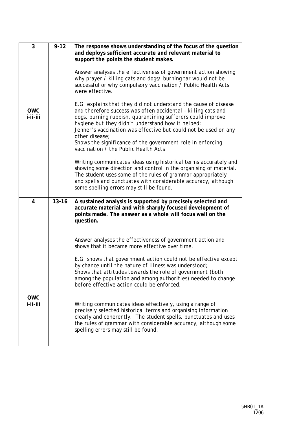| 3                      | $9 - 12$  | The response shows understanding of the focus of the question<br>and deploys sufficient accurate and relevant material to<br>support the points the student makes.<br>Answer analyses the effectiveness of government action showing<br>why prayer / killing cats and dogs/ burning tar would not be<br>successful or why compulsory vaccination / Public Health Acts<br>were effective.                                                        |
|------------------------|-----------|-------------------------------------------------------------------------------------------------------------------------------------------------------------------------------------------------------------------------------------------------------------------------------------------------------------------------------------------------------------------------------------------------------------------------------------------------|
| <b>QWC</b><br>i-ii-iii |           | E.G. explains that they did not understand the cause of disease<br>and therefore success was often accidental - killing cats and<br>dogs, burning rubbish, quarantining sufferers could improve<br>hygiene but they didn't understand how it helped;<br>Jenner's vaccination was effective but could not be used on any<br>other disease;<br>Shows the significance of the government role in enforcing<br>vaccination / the Public Health Acts |
|                        |           | Writing communicates ideas using historical terms accurately and<br>showing some direction and control in the organising of material.<br>The student uses some of the rules of grammar appropriately<br>and spells and punctuates with considerable accuracy, although<br>some spelling errors may still be found.                                                                                                                              |
| $\overline{4}$         | $13 - 16$ | A sustained analysis is supported by precisely selected and<br>accurate material and with sharply focused development of<br>points made. The answer as a whole will focus well on the<br>question.                                                                                                                                                                                                                                              |
|                        |           | Answer analyses the effectiveness of government action and<br>shows that it became more effective over time.                                                                                                                                                                                                                                                                                                                                    |
|                        |           | E.G. shows that government action could not be effective except<br>by chance until the nature of illness was understood;<br>Shows that attitudes towards the role of government (both<br>among the population and among authorities) needed to change<br>before effective action could be enforced.                                                                                                                                             |
| QWC<br>i-ii-iii        |           | Writing communicates ideas effectively, using a range of<br>precisely selected historical terms and organising information<br>clearly and coherently. The student spells, punctuates and uses<br>the rules of grammar with considerable accuracy, although some<br>spelling errors may still be found.                                                                                                                                          |